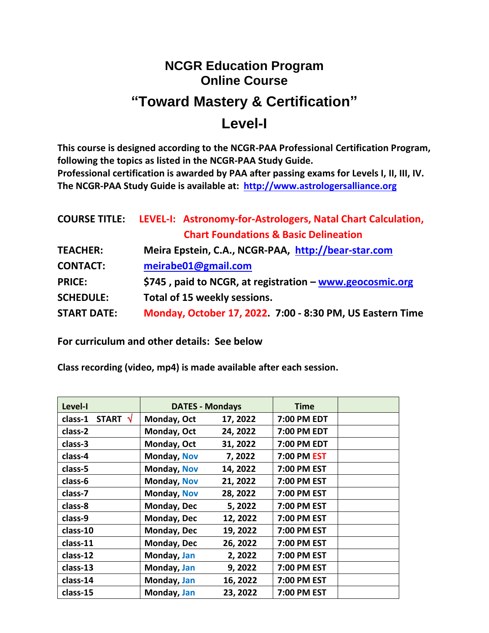# **NCGR Education Program Online Course**

# **"Toward Mastery & Certification"**

## **Level-I**

**This course is designed according to the NCGR-PAA Professional Certification Program, following the topics as listed in the NCGR-PAA Study Guide. Professional certification is awarded by PAA after passing exams for Levels I, II, III, IV. The NCGR-PAA Study Guide is available at: [http://www.astrologersalliance.org](http://www.astrologersalliance.org/)**

|                    | <b>COURSE TITLE:</b> LEVEL-I: Astronomy-for-Astrologers, Natal Chart Calculation, |  |  |  |
|--------------------|-----------------------------------------------------------------------------------|--|--|--|
|                    | <b>Chart Foundations &amp; Basic Delineation</b>                                  |  |  |  |
| <b>TEACHER:</b>    | Meira Epstein, C.A., NCGR-PAA, http://bear-star.com                               |  |  |  |
| <b>CONTACT:</b>    | meirabe01@gmail.com                                                               |  |  |  |
| <b>PRICE:</b>      | \$745, paid to NCGR, at registration - www.geocosmic.org                          |  |  |  |
| <b>SCHEDULE:</b>   | Total of 15 weekly sessions.                                                      |  |  |  |
| <b>START DATE:</b> | Monday, October 17, 2022. 7:00 - 8:30 PM, US Eastern Time                         |  |  |  |

**For curriculum and other details: See below**

**Class recording (video, mp4) is made available after each session.**

| Level-I                    | <b>DATES - Mondays</b> |          | <b>Time</b> |  |
|----------------------------|------------------------|----------|-------------|--|
| START $\sqrt{}$<br>class-1 | Monday, Oct            | 17, 2022 | 7:00 PM EDT |  |
| class-2                    | Monday, Oct            | 24, 2022 | 7:00 PM EDT |  |
| class-3                    | Monday, Oct            | 31, 2022 | 7:00 PM EDT |  |
| class-4                    | Monday, Nov            | 7,2022   | 7:00 PM EST |  |
| class-5                    | Monday, Nov            | 14, 2022 | 7:00 PM EST |  |
| class-6                    | Monday, Nov            | 21, 2022 | 7:00 PM EST |  |
| class-7                    | Monday, Nov            | 28, 2022 | 7:00 PM EST |  |
| class-8                    | Monday, Dec            | 5, 2022  | 7:00 PM EST |  |
| class-9                    | Monday, Dec            | 12, 2022 | 7:00 PM EST |  |
| class-10                   | Monday, Dec            | 19, 2022 | 7:00 PM EST |  |
| class-11                   | Monday, Dec            | 26, 2022 | 7:00 PM EST |  |
| class-12                   | Monday, Jan            | 2,2022   | 7:00 PM EST |  |
| class-13                   | Monday, Jan            | 9, 2022  | 7:00 PM EST |  |
| class-14                   | Monday, Jan            | 16, 2022 | 7:00 PM EST |  |
| class-15                   | Monday, Jan            | 23, 2022 | 7:00 PM EST |  |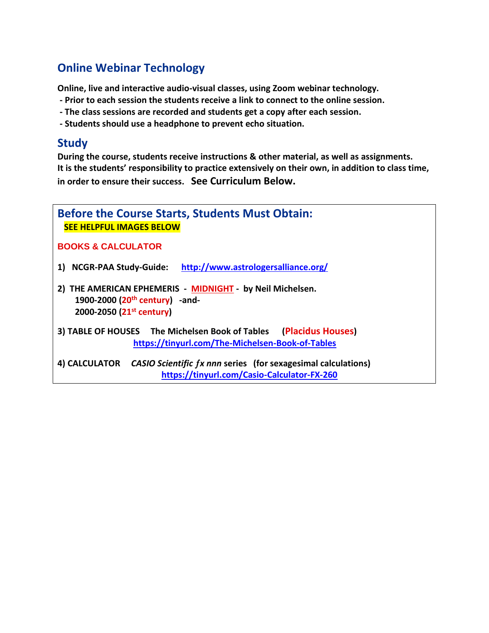## **Online Webinar Technology**

**Online, live and interactive audio-visual classes, using Zoom webinar technology.** 

- **- Prior to each session the students receive a link to connect to the online session.**
- **- The class sessions are recorded and students get a copy after each session.**
- **- Students should use a headphone to prevent echo situation.**

### **Study**

**During the course, students receive instructions & other material, as well as assignments. It is the students' responsibility to practice extensively on their own, in addition to class time, in order to ensure their success. See Curriculum Below.**

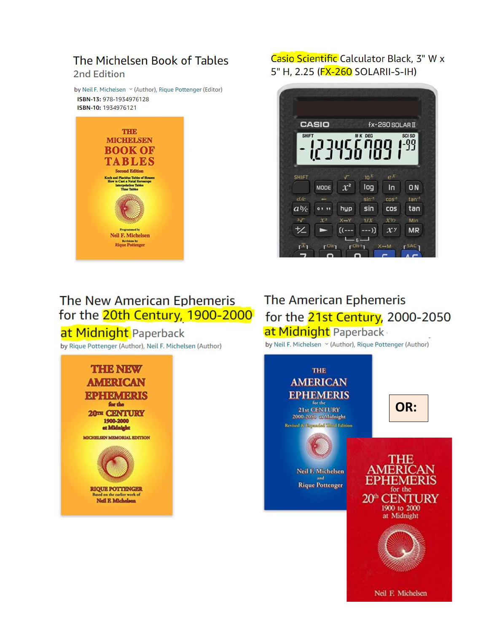### The Michelsen Book of Tables 2nd Edition

by Neil F. Michelsen v (Author), Rique Pottenger (Editor) ISBN-13: 978-1934976128 ISBN-10: 1934976121



### Casio Scientific Calculator Black, 3" W x 5" H. 2.25 (FX-260 SOLARII-S-IH)



# The New American Ephemeris for the 20th Century, 1900-2000

## at Midnight Paperback

by Rique Pottenger (Author), Neil F. Michelsen (Author)



## The American Ephemeris for the 21st Century, 2000-2050 at Midnight Paperback

by Neil F. Michelsen Y (Author), Rique Pottenger (Author)

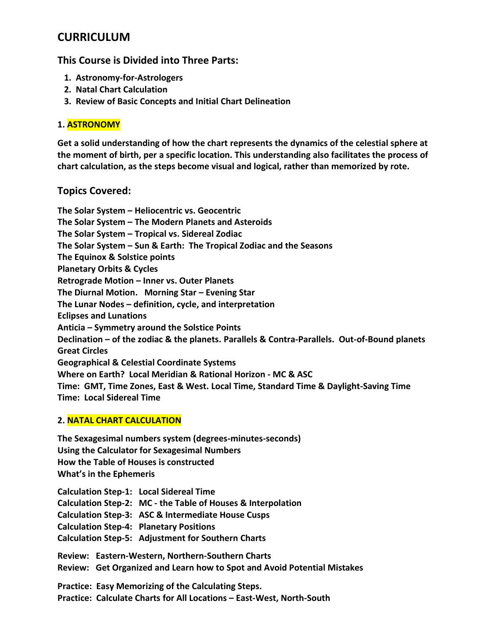## **CURRICULUM**

### **This Course is Divided into Three Parts:**

- **1. Astronomy-for-Astrologers**
- **2. Natal Chart Calculation**
- **3. Review of Basic Concepts and Initial Chart Delineation**

### **1. ASTRONOMY**

**Get a solid understanding of how the chart represents the dynamics of the celestial sphere at the moment of birth, per a specific location. This understanding also facilitates the process of chart calculation, as the steps become visual and logical, rather than memorized by rote.**

### **Topics Covered:**

**The Solar System – Heliocentric vs. Geocentric The Solar System – The Modern Planets and Asteroids The Solar System – Tropical vs. Sidereal Zodiac The Solar System – Sun & Earth: The Tropical Zodiac and the Seasons The Equinox & Solstice points Planetary Orbits & Cycles Retrograde Motion – Inner vs. Outer Planets The Diurnal Motion. Morning Star – Evening Star The Lunar Nodes – definition, cycle, and interpretation Eclipses and Lunations Anticia – Symmetry around the Solstice Points Declination – of the zodiac & the planets. Parallels & Contra-Parallels. Out-of-Bound planets Great Circles Geographical & Celestial Coordinate Systems Where on Earth? Local Meridian & Rational Horizon - MC & ASC Time: GMT, Time Zones, East & West. Local Time, Standard Time & Daylight-Saving Time Time: Local Sidereal Time**

#### **2. NATAL CHART CALCULATION**

**The Sexagesimal numbers system (degrees-minutes-seconds) Using the Calculator for Sexagesimal Numbers How the Table of Houses is constructed What's in the Ephemeris**

**Calculation Step-1: Local Sidereal Time Calculation Step-2: MC - the Table of Houses & Interpolation Calculation Step-3: ASC & Intermediate House Cusps Calculation Step-4: Planetary Positions Calculation Step-5: Adjustment for Southern Charts Review: Eastern-Western, Northern-Southern Charts Review: Get Organized and Learn how to Spot and Avoid Potential Mistakes Practice: Easy Memorizing of the Calculating Steps.**

**Practice: Calculate Charts for All Locations – East-West, North-South**